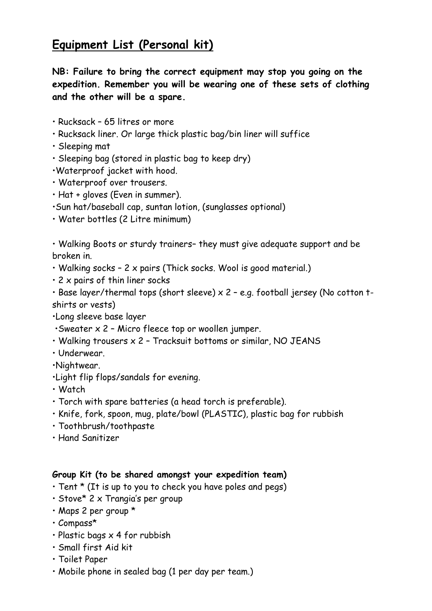# **Equipment List (Personal kit)**

**NB: Failure to bring the correct equipment may stop you going on the expedition. Remember you will be wearing one of these sets of clothing and the other will be a spare.**

- Rucksack 65 litres or more
- Rucksack liner. Or large thick plastic bag/bin liner will suffice
- Sleeping mat
- Sleeping bag (stored in plastic bag to keep dry)
- •Waterproof jacket with hood.
- Waterproof over trousers.
- Hat + gloves (Even in summer).
- •Sun hat/baseball cap, suntan lotion, (sunglasses optional)
- Water bottles (2 Litre minimum)

• Walking Boots or sturdy trainers– they must give adequate support and be broken in.

- Walking socks 2 x pairs (Thick socks. Wool is good material.)
- $\cdot$  2 x pairs of thin liner socks

• Base layer/thermal tops (short sleeve) x 2 – e.g. football jersey (No cotton tshirts or vests)

•Long sleeve base layer

- $\cdot$ Sweater x 2 Micro fleece top or woollen jumper.
- Walking trousers x 2 Tracksuit bottoms or similar, NO JEANS
- Underwear.

•Nightwear.

- •Light flip flops/sandals for evening.
- Watch
- Torch with spare batteries (a head torch is preferable).
- Knife, fork, spoon, mug, plate/bowl (PLASTIC), plastic bag for rubbish
- Toothbrush/toothpaste
- Hand Sanitizer

#### **Group Kit (to be shared amongst your expedition team)**

- Tent \* (It is up to you to check you have poles and pegs)
- Stove\* 2 x Trangia's per group
- Maps 2 per group \*
- Compass\*
- Plastic bags  $\times$  4 for rubbish
- Small first Aid kit
- Toilet Paper
- Mobile phone in sealed bag (1 per day per team.)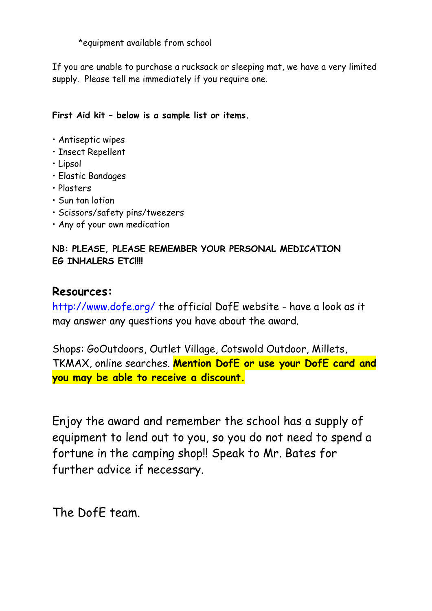\*equipment available from school

If you are unable to purchase a rucksack or sleeping mat, we have a very limited supply. Please tell me immediately if you require one.

### **First Aid kit – below is a sample list or items.**

- Antiseptic wipes
- Insect Repellent
- Lipsol
- Elastic Bandages
- Plasters
- Sun tan lotion
- Scissors/safety pins/tweezers
- Any of your own medication

### **NB: PLEASE, PLEASE REMEMBER YOUR PERSONAL MEDICATION EG INHALERS ETC!!!!**

## **Resources:**

http://www.dofe.org/ the official DofE website - have a look as it may answer any questions you have about the award.

Shops: GoOutdoors, Outlet Village, Cotswold Outdoor, Millets, TKMAX, online searches. **Mention DofE or use your DofE card and you may be able to receive a discount.**

Enjoy the award and remember the school has a supply of equipment to lend out to you, so you do not need to spend a fortune in the camping shop!! Speak to Mr. Bates for further advice if necessary.

The DofE team.